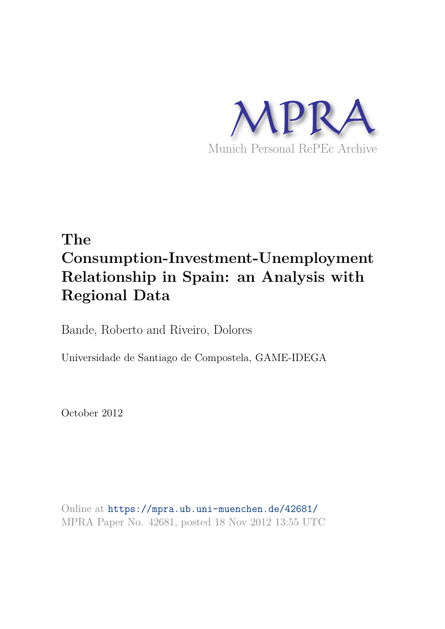

# **The Consumption-Investment-Unemployment Relationship in Spain: an Analysis with Regional Data**

Bande, Roberto and Riveiro, Dolores

Universidade de Santiago de Compostela, GAME-IDEGA

October 2012

Online at https://mpra.ub.uni-muenchen.de/42681/ MPRA Paper No. 42681, posted 18 Nov 2012 13:55 UTC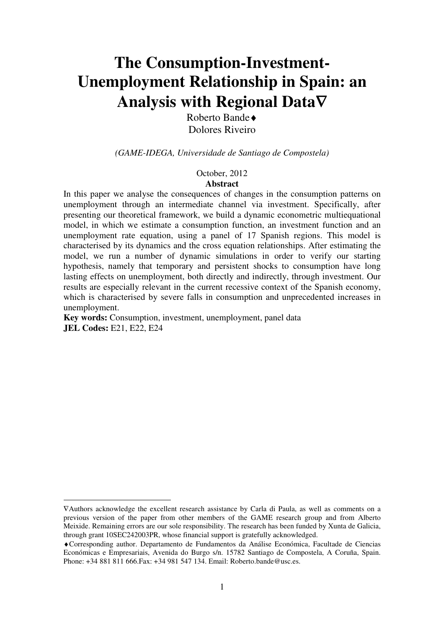# **The Consumption-Investment-Unemployment Relationship in Spain: an Analysis with Regional Data**∇

Roberto Bande♦ Dolores Riveiro

*(GAME-IDEGA, Universidade de Santiago de Compostela)*

October, 2012

#### **Abstract**

In this paper we analyse the consequences of changes in the consumption patterns on unemployment through an intermediate channel via investment. Specifically, after presenting our theoretical framework, we build a dynamic econometric multiequational model, in which we estimate a consumption function, an investment function and an unemployment rate equation, using a panel of 17 Spanish regions. This model is characterised by its dynamics and the cross equation relationships. After estimating the model, we run a number of dynamic simulations in order to verify our starting hypothesis, namely that temporary and persistent shocks to consumption have long lasting effects on unemployment, both directly and indirectly, through investment. Our results are especially relevant in the current recessive context of the Spanish economy, which is characterised by severe falls in consumption and unprecedented increases in unemployment.

**Key words:** Consumption, investment, unemployment, panel data **JEL Codes:** E21, E22, E24

<sup>∇</sup>Authors acknowledge the excellent research assistance by Carla di Paula, as well as comments on a previous version of the paper from other members of the GAME research group and from Alberto Meixide. Remaining errors are our sole responsibility. The research has been funded by Xunta de Galicia, through grant 10SEC242003PR, whose financial support is gratefully acknowledged.

<sup>♦</sup>Corresponding author. Departamento de Fundamentos da Análise Económica, Facultade de Ciencias Económicas e Empresariais, Avenida do Burgo s/n. 15782 Santiago de Compostela, A Coruña, Spain. Phone: +34 881 811 666.Fax: +34 981 547 134. Email: Roberto.bande@usc.es.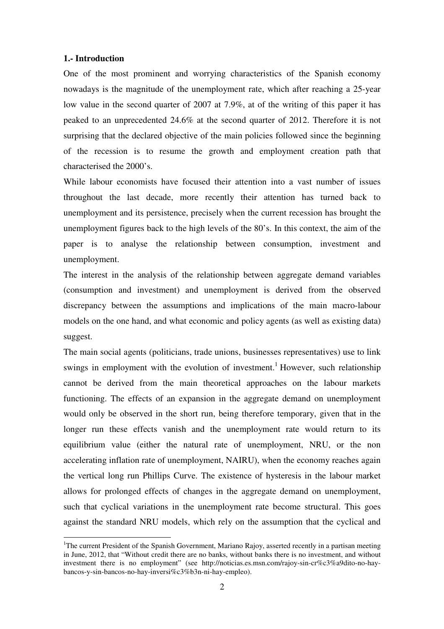#### **1.- Introduction**

 $\overline{a}$ 

One of the most prominent and worrying characteristics of the Spanish economy nowadays is the magnitude of the unemployment rate, which after reaching a 25-year low value in the second quarter of 2007 at 7.9%, at of the writing of this paper it has peaked to an unprecedented 24.6% at the second quarter of 2012. Therefore it is not surprising that the declared objective of the main policies followed since the beginning of the recession is to resume the growth and employment creation path that characterised the 2000's.

While labour economists have focused their attention into a vast number of issues throughout the last decade, more recently their attention has turned back to unemployment and its persistence, precisely when the current recession has brought the unemployment figures back to the high levels of the 80's. In this context, the aim of the paper is to analyse the relationship between consumption, investment and unemployment.

The interest in the analysis of the relationship between aggregate demand variables (consumption and investment) and unemployment is derived from the observed discrepancy between the assumptions and implications of the main macro-labour models on the one hand, and what economic and policy agents (as well as existing data) suggest.

The main social agents (politicians, trade unions, businesses representatives) use to link swings in employment with the evolution of investment.<sup>1</sup> However, such relationship cannot be derived from the main theoretical approaches on the labour markets functioning. The effects of an expansion in the aggregate demand on unemployment would only be observed in the short run, being therefore temporary, given that in the longer run these effects vanish and the unemployment rate would return to its equilibrium value (either the natural rate of unemployment, NRU, or the non accelerating inflation rate of unemployment, NAIRU), when the economy reaches again the vertical long run Phillips Curve. The existence of hysteresis in the labour market allows for prolonged effects of changes in the aggregate demand on unemployment, such that cyclical variations in the unemployment rate become structural. This goes against the standard NRU models, which rely on the assumption that the cyclical and

<sup>&</sup>lt;sup>1</sup>The current President of the Spanish Government, Mariano Rajoy, asserted recently in a partisan meeting in June, 2012, that "Without credit there are no banks, without banks there is no investment, and without investment there is no employment" (see http://noticias.es.msn.com/rajoy-sin-cr%c3%a9dito-no-haybancos-y-sin-bancos-no-hay-inversi%c3%b3n-ni-hay-empleo).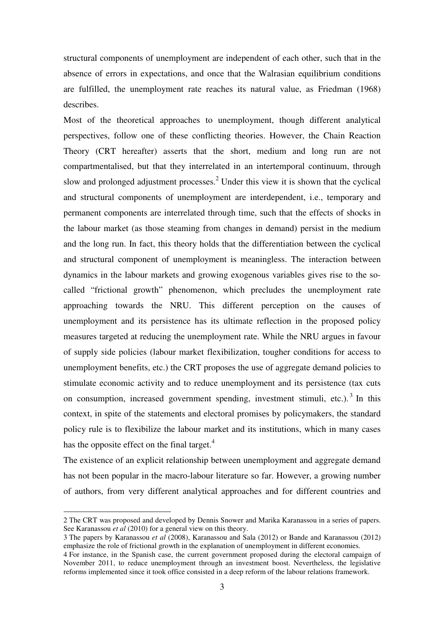structural components of unemployment are independent of each other, such that in the absence of errors in expectations, and once that the Walrasian equilibrium conditions are fulfilled, the unemployment rate reaches its natural value, as Friedman (1968) describes.

Most of the theoretical approaches to unemployment, though different analytical perspectives, follow one of these conflicting theories. However, the Chain Reaction Theory (CRT hereafter) asserts that the short, medium and long run are not compartmentalised, but that they interrelated in an intertemporal continuum, through slow and prolonged adjustment processes.<sup>2</sup> Under this view it is shown that the cyclical and structural components of unemployment are interdependent, i.e., temporary and permanent components are interrelated through time, such that the effects of shocks in the labour market (as those steaming from changes in demand) persist in the medium and the long run. In fact, this theory holds that the differentiation between the cyclical and structural component of unemployment is meaningless. The interaction between dynamics in the labour markets and growing exogenous variables gives rise to the socalled "frictional growth" phenomenon, which precludes the unemployment rate approaching towards the NRU. This different perception on the causes of unemployment and its persistence has its ultimate reflection in the proposed policy measures targeted at reducing the unemployment rate. While the NRU argues in favour of supply side policies (labour market flexibilization, tougher conditions for access to unemployment benefits, etc.) the CRT proposes the use of aggregate demand policies to stimulate economic activity and to reduce unemployment and its persistence (tax cuts on consumption, increased government spending, investment stimuli, etc.).<sup>3</sup> In this context, in spite of the statements and electoral promises by policymakers, the standard policy rule is to flexibilize the labour market and its institutions, which in many cases has the opposite effect on the final target. $4$ 

The existence of an explicit relationship between unemployment and aggregate demand has not been popular in the macro-labour literature so far. However, a growing number of authors, from very different analytical approaches and for different countries and

<sup>2</sup> The CRT was proposed and developed by Dennis Snower and Marika Karanassou in a series of papers. See Karanassou *et al* (2010) for a general view on this theory.

<sup>3</sup> The papers by Karanassou *et al* (2008), Karanassou and Sala (2012) or Bande and Karanassou (2012) emphasize the role of frictional growth in the explanation of unemployment in different economies.

<sup>4</sup> For instance, in the Spanish case, the current government proposed during the electoral campaign of November 2011, to reduce unemployment through an investment boost. Nevertheless, the legislative reforms implemented since it took office consisted in a deep reform of the labour relations framework.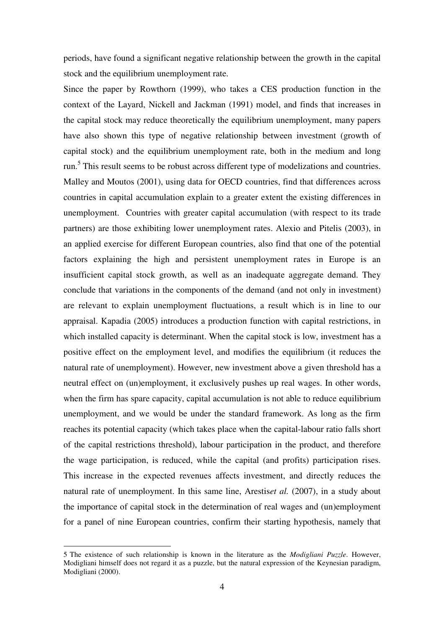periods, have found a significant negative relationship between the growth in the capital stock and the equilibrium unemployment rate.

Since the paper by Rowthorn (1999), who takes a CES production function in the context of the Layard, Nickell and Jackman (1991) model, and finds that increases in the capital stock may reduce theoretically the equilibrium unemployment, many papers have also shown this type of negative relationship between investment (growth of capital stock) and the equilibrium unemployment rate, both in the medium and long run.<sup>5</sup> This result seems to be robust across different type of modelizations and countries. Malley and Moutos (2001), using data for OECD countries, find that differences across countries in capital accumulation explain to a greater extent the existing differences in unemployment. Countries with greater capital accumulation (with respect to its trade partners) are those exhibiting lower unemployment rates. Alexio and Pitelis (2003), in an applied exercise for different European countries, also find that one of the potential factors explaining the high and persistent unemployment rates in Europe is an insufficient capital stock growth, as well as an inadequate aggregate demand. They conclude that variations in the components of the demand (and not only in investment) are relevant to explain unemployment fluctuations, a result which is in line to our appraisal. Kapadia (2005) introduces a production function with capital restrictions, in which installed capacity is determinant. When the capital stock is low, investment has a positive effect on the employment level, and modifies the equilibrium (it reduces the natural rate of unemployment). However, new investment above a given threshold has a neutral effect on (un)employment, it exclusively pushes up real wages. In other words, when the firm has spare capacity, capital accumulation is not able to reduce equilibrium unemployment, and we would be under the standard framework. As long as the firm reaches its potential capacity (which takes place when the capital-labour ratio falls short of the capital restrictions threshold), labour participation in the product, and therefore the wage participation, is reduced, while the capital (and profits) participation rises. This increase in the expected revenues affects investment, and directly reduces the natural rate of unemployment. In this same line, Arestis*et al.* (2007), in a study about the importance of capital stock in the determination of real wages and (un)employment for a panel of nine European countries, confirm their starting hypothesis, namely that

<sup>5</sup> The existence of such relationship is known in the literature as the *Modigliani Puzzle*. However, Modigliani himself does not regard it as a puzzle, but the natural expression of the Keynesian paradigm, Modigliani (2000).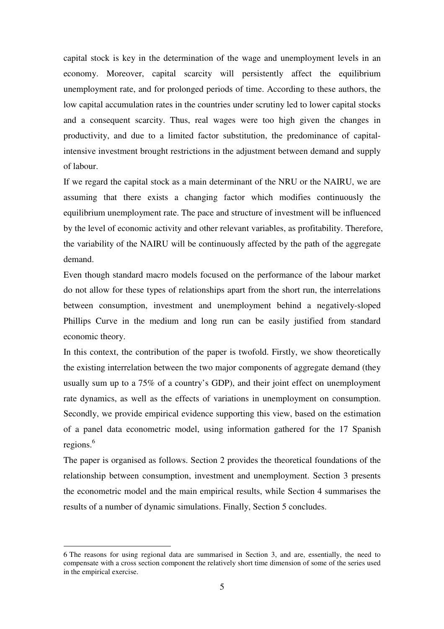capital stock is key in the determination of the wage and unemployment levels in an economy. Moreover, capital scarcity will persistently affect the equilibrium unemployment rate, and for prolonged periods of time. According to these authors, the low capital accumulation rates in the countries under scrutiny led to lower capital stocks and a consequent scarcity. Thus, real wages were too high given the changes in productivity, and due to a limited factor substitution, the predominance of capitalintensive investment brought restrictions in the adjustment between demand and supply of labour.

If we regard the capital stock as a main determinant of the NRU or the NAIRU, we are assuming that there exists a changing factor which modifies continuously the equilibrium unemployment rate. The pace and structure of investment will be influenced by the level of economic activity and other relevant variables, as profitability. Therefore, the variability of the NAIRU will be continuously affected by the path of the aggregate demand.

Even though standard macro models focused on the performance of the labour market do not allow for these types of relationships apart from the short run, the interrelations between consumption, investment and unemployment behind a negatively-sloped Phillips Curve in the medium and long run can be easily justified from standard economic theory.

In this context, the contribution of the paper is twofold. Firstly, we show theoretically the existing interrelation between the two major components of aggregate demand (they usually sum up to a 75% of a country's GDP), and their joint effect on unemployment rate dynamics, as well as the effects of variations in unemployment on consumption. Secondly, we provide empirical evidence supporting this view, based on the estimation of a panel data econometric model, using information gathered for the 17 Spanish regions. $6$ 

The paper is organised as follows. Section 2 provides the theoretical foundations of the relationship between consumption, investment and unemployment. Section 3 presents the econometric model and the main empirical results, while Section 4 summarises the results of a number of dynamic simulations. Finally, Section 5 concludes.

<sup>6</sup> The reasons for using regional data are summarised in Section 3, and are, essentially, the need to compensate with a cross section component the relatively short time dimension of some of the series used in the empirical exercise.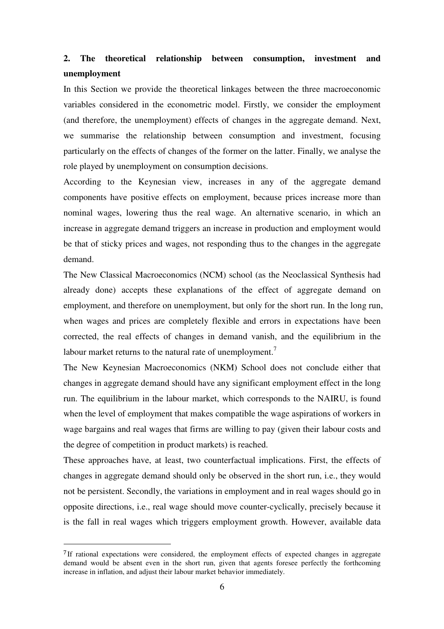## **2. The theoretical relationship between consumption, investment and unemployment**

In this Section we provide the theoretical linkages between the three macroeconomic variables considered in the econometric model. Firstly, we consider the employment (and therefore, the unemployment) effects of changes in the aggregate demand. Next, we summarise the relationship between consumption and investment, focusing particularly on the effects of changes of the former on the latter. Finally, we analyse the role played by unemployment on consumption decisions.

According to the Keynesian view, increases in any of the aggregate demand components have positive effects on employment, because prices increase more than nominal wages, lowering thus the real wage. An alternative scenario, in which an increase in aggregate demand triggers an increase in production and employment would be that of sticky prices and wages, not responding thus to the changes in the aggregate demand.

The New Classical Macroeconomics (NCM) school (as the Neoclassical Synthesis had already done) accepts these explanations of the effect of aggregate demand on employment, and therefore on unemployment, but only for the short run. In the long run, when wages and prices are completely flexible and errors in expectations have been corrected, the real effects of changes in demand vanish, and the equilibrium in the labour market returns to the natural rate of unemployment.<sup>7</sup>

The New Keynesian Macroeconomics (NKM) School does not conclude either that changes in aggregate demand should have any significant employment effect in the long run. The equilibrium in the labour market, which corresponds to the NAIRU, is found when the level of employment that makes compatible the wage aspirations of workers in wage bargains and real wages that firms are willing to pay (given their labour costs and the degree of competition in product markets) is reached.

These approaches have, at least, two counterfactual implications. First, the effects of changes in aggregate demand should only be observed in the short run, i.e., they would not be persistent. Secondly, the variations in employment and in real wages should go in opposite directions, i.e., real wage should move counter-cyclically, precisely because it is the fall in real wages which triggers employment growth. However, available data

<sup>7</sup>If rational expectations were considered, the employment effects of expected changes in aggregate demand would be absent even in the short run, given that agents foresee perfectly the forthcoming increase in inflation, and adjust their labour market behavior immediately.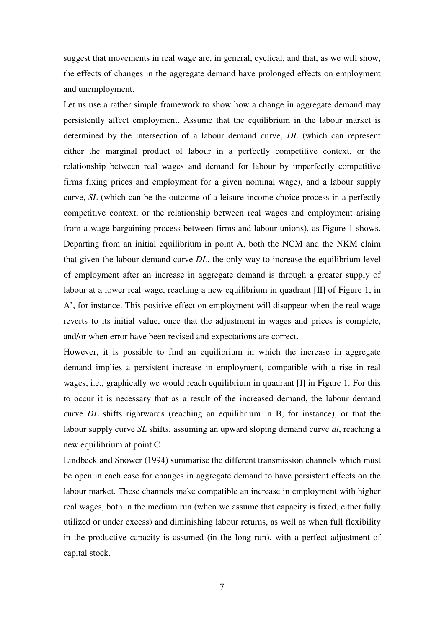suggest that movements in real wage are, in general, cyclical, and that, as we will show, the effects of changes in the aggregate demand have prolonged effects on employment and unemployment.

Let us use a rather simple framework to show how a change in aggregate demand may persistently affect employment. Assume that the equilibrium in the labour market is determined by the intersection of a labour demand curve, *DL* (which can represent either the marginal product of labour in a perfectly competitive context, or the relationship between real wages and demand for labour by imperfectly competitive firms fixing prices and employment for a given nominal wage), and a labour supply curve, *SL* (which can be the outcome of a leisure-income choice process in a perfectly competitive context, or the relationship between real wages and employment arising from a wage bargaining process between firms and labour unions), as Figure 1 shows. Departing from an initial equilibrium in point A, both the NCM and the NKM claim that given the labour demand curve *DL*, the only way to increase the equilibrium level of employment after an increase in aggregate demand is through a greater supply of labour at a lower real wage, reaching a new equilibrium in quadrant [II] of Figure 1, in A', for instance. This positive effect on employment will disappear when the real wage reverts to its initial value, once that the adjustment in wages and prices is complete, and/or when error have been revised and expectations are correct.

However, it is possible to find an equilibrium in which the increase in aggregate demand implies a persistent increase in employment, compatible with a rise in real wages, i.e., graphically we would reach equilibrium in quadrant [I] in Figure 1. For this to occur it is necessary that as a result of the increased demand, the labour demand curve *DL* shifts rightwards (reaching an equilibrium in B, for instance), or that the labour supply curve *SL* shifts, assuming an upward sloping demand curve *dl*, reaching a new equilibrium at point C.

Lindbeck and Snower (1994) summarise the different transmission channels which must be open in each case for changes in aggregate demand to have persistent effects on the labour market. These channels make compatible an increase in employment with higher real wages, both in the medium run (when we assume that capacity is fixed, either fully utilized or under excess) and diminishing labour returns, as well as when full flexibility in the productive capacity is assumed (in the long run), with a perfect adjustment of capital stock.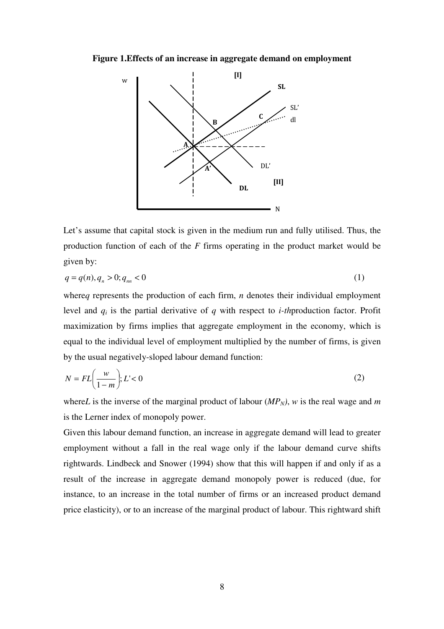#### **Figure 1.Effects of an increase in aggregate demand on employment**



Let's assume that capital stock is given in the medium run and fully utilised. Thus, the production function of each of the *F* firms operating in the product market would be given by:

$$
q = q(n), q_n > 0; q_m < 0 \tag{1}
$$

where*q* represents the production of each firm, *n* denotes their individual employment level and *q<sup>i</sup>* is the partial derivative of *q* with respect to *i-th*production factor. Profit maximization by firms implies that aggregate employment in the economy, which is equal to the individual level of employment multiplied by the number of firms, is given by the usual negatively-sloped labour demand function:

$$
N = FL\left(\frac{w}{1-m}\right); L' < 0\tag{2}
$$

where*L* is the inverse of the marginal product of labour (*MPN)*, *w* is the real wage and *m* is the Lerner index of monopoly power.

Given this labour demand function, an increase in aggregate demand will lead to greater employment without a fall in the real wage only if the labour demand curve shifts rightwards. Lindbeck and Snower (1994) show that this will happen if and only if as a result of the increase in aggregate demand monopoly power is reduced (due, for instance, to an increase in the total number of firms or an increased product demand price elasticity), or to an increase of the marginal product of labour. This rightward shift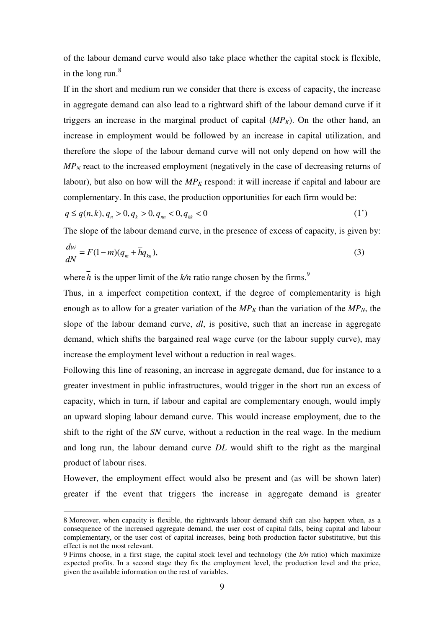of the labour demand curve would also take place whether the capital stock is flexible, in the long run. $8$ 

If in the short and medium run we consider that there is excess of capacity, the increase in aggregate demand can also lead to a rightward shift of the labour demand curve if it triggers an increase in the marginal product of capital  $(MP_K)$ . On the other hand, an increase in employment would be followed by an increase in capital utilization, and therefore the slope of the labour demand curve will not only depend on how will the *MP<sub>N</sub>* react to the increased employment (negatively in the case of decreasing returns of labour), but also on how will the  $MP<sub>K</sub>$  respond: it will increase if capital and labour are complementary. In this case, the production opportunities for each firm would be:

$$
q \le q(n,k), q_n > 0, q_k > 0, q_m < 0, q_{kk} < 0
$$
\n<sup>(1')</sup>

The slope of the labour demand curve, in the presence of excess of capacity, is given by:

$$
\frac{dw}{dN} = F(1-m)(q_m + \bar{h}q_{kn}),\tag{3}
$$

where  $\bar{h}$  is the upper limit of the  $k/n$  ratio range chosen by the firms.<sup>9</sup>

Thus, in a imperfect competition context, if the degree of complementarity is high enough as to allow for a greater variation of the  $MP_K$  than the variation of the  $MP_N$ , the slope of the labour demand curve, *dl*, is positive, such that an increase in aggregate demand, which shifts the bargained real wage curve (or the labour supply curve), may increase the employment level without a reduction in real wages.

Following this line of reasoning, an increase in aggregate demand, due for instance to a greater investment in public infrastructures, would trigger in the short run an excess of capacity, which in turn, if labour and capital are complementary enough, would imply an upward sloping labour demand curve. This would increase employment, due to the shift to the right of the *SN* curve, without a reduction in the real wage. In the medium and long run, the labour demand curve *DL* would shift to the right as the marginal product of labour rises.

However, the employment effect would also be present and (as will be shown later) greater if the event that triggers the increase in aggregate demand is greater

<sup>8</sup> Moreover, when capacity is flexible, the rightwards labour demand shift can also happen when, as a consequence of the increased aggregate demand, the user cost of capital falls, being capital and labour complementary, or the user cost of capital increases, being both production factor substitutive, but this effect is not the most relevant.

<sup>9</sup> Firms choose, in a first stage, the capital stock level and technology (the *k/n* ratio) which maximize expected profits. In a second stage they fix the employment level, the production level and the price, given the available information on the rest of variables.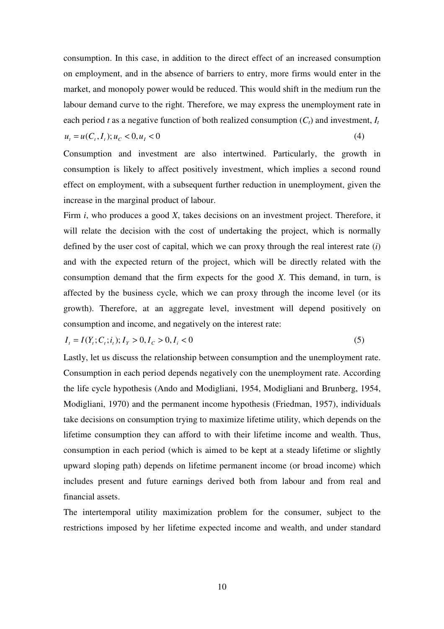consumption. In this case, in addition to the direct effect of an increased consumption on employment, and in the absence of barriers to entry, more firms would enter in the market, and monopoly power would be reduced. This would shift in the medium run the labour demand curve to the right. Therefore, we may express the unemployment rate in each period *t* as a negative function of both realized consumption  $(C_t)$  and investment,  $I_t$  $u_t = u(C_t, I_t); u_c < 0, u_t < 0$  (4)

Consumption and investment are also intertwined. Particularly, the growth in consumption is likely to affect positively investment, which implies a second round effect on employment, with a subsequent further reduction in unemployment, given the increase in the marginal product of labour.

Firm *i*, who produces a good *X*, takes decisions on an investment project. Therefore, it will relate the decision with the cost of undertaking the project, which is normally defined by the user cost of capital, which we can proxy through the real interest rate (*i*) and with the expected return of the project, which will be directly related with the consumption demand that the firm expects for the good *X*. This demand, in turn, is affected by the business cycle, which we can proxy through the income level (or its growth). Therefore, at an aggregate level, investment will depend positively on consumption and income, and negatively on the interest rate:

$$
I_t = I(Y_t; C_t; i_t); I_Y > 0, I_C > 0, I_i < 0
$$
\n<sup>(5)</sup>

Lastly, let us discuss the relationship between consumption and the unemployment rate. Consumption in each period depends negatively con the unemployment rate. According the life cycle hypothesis (Ando and Modigliani, 1954, Modigliani and Brunberg, 1954, Modigliani, 1970) and the permanent income hypothesis (Friedman, 1957), individuals take decisions on consumption trying to maximize lifetime utility, which depends on the lifetime consumption they can afford to with their lifetime income and wealth. Thus, consumption in each period (which is aimed to be kept at a steady lifetime or slightly upward sloping path) depends on lifetime permanent income (or broad income) which includes present and future earnings derived both from labour and from real and financial assets.

The intertemporal utility maximization problem for the consumer, subject to the restrictions imposed by her lifetime expected income and wealth, and under standard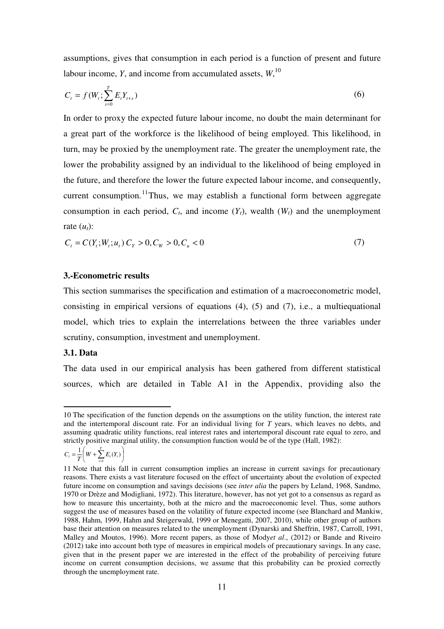assumptions, gives that consumption in each period is a function of present and future labour income, *Y*, and income from accumulated assets, *W*, 10

$$
C_t = f(W_t; \sum_{s=0}^T E_t Y_{t+s})
$$
\n(6)

In order to proxy the expected future labour income, no doubt the main determinant for a great part of the workforce is the likelihood of being employed. This likelihood, in turn, may be proxied by the unemployment rate. The greater the unemployment rate, the lower the probability assigned by an individual to the likelihood of being employed in the future, and therefore the lower the future expected labour income, and consequently, current consumption.<sup>11</sup>Thus, we may establish a functional form between aggregate consumption in each period,  $C_t$ , and income  $(Y_t)$ , wealth  $(W_t)$  and the unemployment rate  $(u_t)$ :

$$
C_t = C(Y_t; W_t; u_t) C_Y > 0, C_W > 0, C_u < 0
$$
\n<sup>(7)</sup>

#### **3.-Econometric results**

This section summarises the specification and estimation of a macroeconometric model, consisting in empirical versions of equations (4), (5) and (7), i.e., a multiequational model, which tries to explain the interrelations between the three variables under scrutiny, consumption, investment and unemployment.

#### **3.1. Data**

 $\overline{a}$ 

The data used in our empirical analysis has been gathered from different statistical sources, which are detailed in Table A1 in the Appendix, providing also the

$$
C_t = \frac{1}{T} \left( W + \sum_{t=1}^T E_t(Y_t) \right)
$$

<sup>10</sup> The specification of the function depends on the assumptions on the utility function, the interest rate and the intertemporal discount rate. For an individual living for *T* years, which leaves no debts, and assuming quadratic utility functions, real interest rates and intertemporal discount rate equal to zero, and strictly positive marginal utility, the consumption function would be of the type (Hall, 1982):

<sup>11</sup> Note that this fall in current consumption implies an increase in current savings for precautionary reasons. There exists a vast literature focused on the effect of uncertainty about the evolution of expected future income on consumption and savings decisions (see *inter alia* the papers by Leland, 1968, Sandmo, 1970 or Drèze and Modigliani, 1972). This literature, however, has not yet got to a consensus as regard as how to measure this uncertainty, both at the micro and the macroeconomic level. Thus, some authors suggest the use of measures based on the volatility of future expected income (see Blanchard and Mankiw, 1988, Hahm, 1999, Hahm and Steigerwald, 1999 or Menegatti, 2007, 2010), while other group of authors base their attention on measures related to the unemployment (Dynarski and Sheffrin, 1987, Carroll, 1991, Malley and Moutos, 1996). More recent papers, as those of Mody*et al*., (2012) or Bande and Riveiro (2012) take into account both type of measures in empirical models of precautionary savings. In any case, given that in the present paper we are interested in the effect of the probability of perceiving future income on current consumption decisions, we assume that this probability can be proxied correctly through the unemployment rate.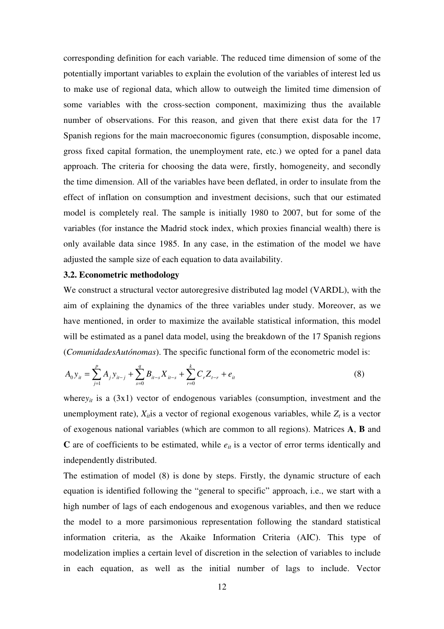corresponding definition for each variable. The reduced time dimension of some of the potentially important variables to explain the evolution of the variables of interest led us to make use of regional data, which allow to outweigh the limited time dimension of some variables with the cross-section component, maximizing thus the available number of observations. For this reason, and given that there exist data for the 17 Spanish regions for the main macroeconomic figures (consumption, disposable income, gross fixed capital formation, the unemployment rate, etc.) we opted for a panel data approach. The criteria for choosing the data were, firstly, homogeneity, and secondly the time dimension. All of the variables have been deflated, in order to insulate from the effect of inflation on consumption and investment decisions, such that our estimated model is completely real. The sample is initially 1980 to 2007, but for some of the variables (for instance the Madrid stock index, which proxies financial wealth) there is only available data since 1985. In any case, in the estimation of the model we have adjusted the sample size of each equation to data availability.

#### **3.2. Econometric methodology**

We construct a structural vector autoregresive distributed lag model (VARDL), with the aim of explaining the dynamics of the three variables under study. Moreover, as we have mentioned, in order to maximize the available statistical information, this model will be estimated as a panel data model, using the breakdown of the 17 Spanish regions (*ComunidadesAutónomas*). The specific functional form of the econometric model is:

$$
A_0 y_{it} = \sum_{j=1}^p A_j y_{it-j} + \sum_{s=0}^q B_{it-s} X_{it-s} + \sum_{r=0}^k C_r Z_{t-r} + e_{it}
$$
\n(8)

where $y_{it}$  is a (3x1) vector of endogenous variables (consumption, investment and the unemployment rate),  $X_{it}$  is a vector of regional exogenous variables, while  $Z_t$  is a vector of exogenous national variables (which are common to all regions). Matrices **A**, **B** and  $C$  are of coefficients to be estimated, while  $e_{it}$  is a vector of error terms identically and independently distributed.

The estimation of model (8) is done by steps. Firstly, the dynamic structure of each equation is identified following the "general to specific" approach, i.e., we start with a high number of lags of each endogenous and exogenous variables, and then we reduce the model to a more parsimonious representation following the standard statistical information criteria, as the Akaike Information Criteria (AIC). This type of modelization implies a certain level of discretion in the selection of variables to include in each equation, as well as the initial number of lags to include. Vector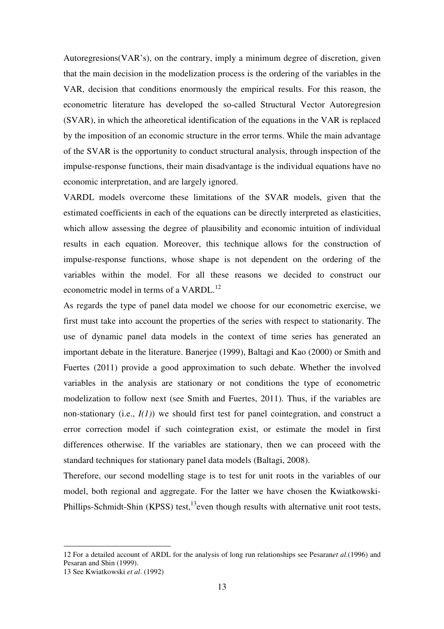Autoregresions(VAR's), on the contrary, imply a minimum degree of discretion, given that the main decision in the modelization process is the ordering of the variables in the VAR, decision that conditions enormously the empirical results. For this reason, the econometric literature has developed the so-called Structural Vector Autoregresion (SVAR), in which the atheoretical identification of the equations in the VAR is replaced by the imposition of an economic structure in the error terms. While the main advantage of the SVAR is the opportunity to conduct structural analysis, through inspection of the impulse-response functions, their main disadvantage is the individual equations have no economic interpretation, and are largely ignored.

VARDL models overcome these limitations of the SVAR models, given that the estimated coefficients in each of the equations can be directly interpreted as elasticities, which allow assessing the degree of plausibility and economic intuition of individual results in each equation. Moreover, this technique allows for the construction of impulse-response functions, whose shape is not dependent on the ordering of the variables within the model. For all these reasons we decided to construct our econometric model in terms of a VARDL.<sup>12</sup>

As regards the type of panel data model we choose for our econometric exercise, we first must take into account the properties of the series with respect to stationarity. The use of dynamic panel data models in the context of time series has generated an important debate in the literature. Banerjee (1999), Baltagi and Kao (2000) or Smith and Fuertes (2011) provide a good approximation to such debate. Whether the involved variables in the analysis are stationary or not conditions the type of econometric modelization to follow next (see Smith and Fuertes, 2011). Thus, if the variables are non-stationary (i.e., *I(1)*) we should first test for panel cointegration, and construct a error correction model if such cointegration exist, or estimate the model in first differences otherwise. If the variables are stationary, then we can proceed with the standard techniques for stationary panel data models (Baltagi, 2008).

Therefore, our second modelling stage is to test for unit roots in the variables of our model, both regional and aggregate. For the latter we have chosen the Kwiatkowski-Phillips-Schmidt-Shin (KPSS) test,<sup>13</sup>even though results with alternative unit root tests,

<sup>12</sup> For a detailed account of ARDL for the analysis of long run relationships see Pesaran*et al.*(1996) and Pesaran and Shin (1999).

<sup>13</sup> See Kwiatkowski *et al*. (1992)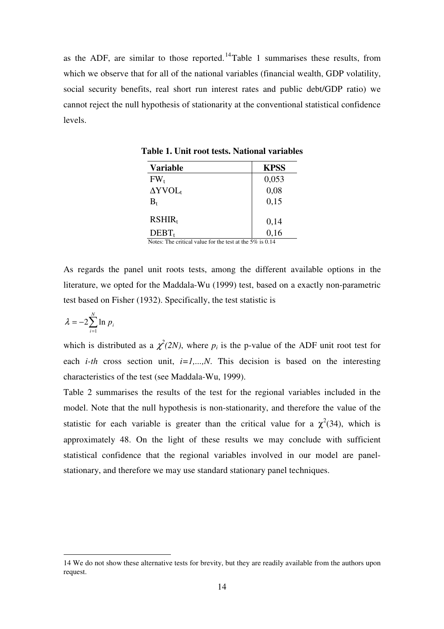as the ADF, are similar to those reported.<sup>14</sup>Table 1 summarises these results, from which we observe that for all of the national variables (financial wealth, GDP volatility, social security benefits, real short run interest rates and public debt/GDP ratio) we cannot reject the null hypothesis of stationarity at the conventional statistical confidence levels.

| <b>Variable</b>            | <b>KPSS</b> |
|----------------------------|-------------|
| $FW_{t}$                   | 0,053       |
| $\Delta$ YVOL <sub>t</sub> | 0,08        |
| $B_t$                      | 0,15        |
| $RSHIR_t$                  | 0,14        |
| $DEBT_t$                   | 0,16        |

**Table 1. Unit root tests. National variables** 

Notes: The critical value for the test at the 5% is 0.14

As regards the panel unit roots tests, among the different available options in the literature, we opted for the Maddala-Wu (1999) test, based on a exactly non-parametric test based on Fisher (1932). Specifically, the test statistic is

$$
\lambda = -2 \sum_{i=1}^{N} \ln p_i
$$

 $\overline{a}$ 

which is distributed as a  $\chi^2(2N)$ , where  $p_i$  is the p-value of the ADF unit root test for each *i-th* cross section unit,  $i=1,...,N$ . This decision is based on the interesting characteristics of the test (see Maddala-Wu, 1999).

Table 2 summarises the results of the test for the regional variables included in the model. Note that the null hypothesis is non-stationarity, and therefore the value of the statistic for each variable is greater than the critical value for a  $\chi^2(34)$ , which is approximately 48. On the light of these results we may conclude with sufficient statistical confidence that the regional variables involved in our model are panelstationary, and therefore we may use standard stationary panel techniques.

<sup>14</sup> We do not show these alternative tests for brevity, but they are readily available from the authors upon request.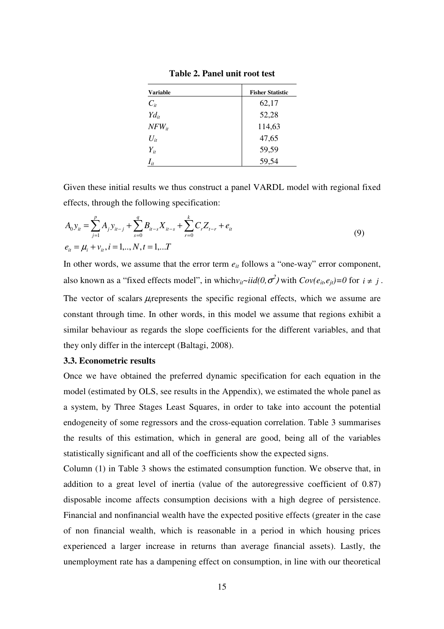| <b>Variable</b> | <b>Fisher Statistic</b> |
|-----------------|-------------------------|
| $C_{it}$        | 62,17                   |
| $Yd_{it}$       | 52,28                   |
| $NFW_{it}$      | 114,63                  |
| $U_{it}$        | 47,65                   |
| $Y_{it}$        | 59,59                   |
| $I_{it}$        | 59,54                   |

**Table 2. Panel unit root test** 

Given these initial results we thus construct a panel VARDL model with regional fixed effects, through the following specification:

$$
A_0 y_{it} = \sum_{j=1}^p A_j y_{it-j} + \sum_{s=0}^q B_{it-s} X_{it-s} + \sum_{r=0}^k C_r Z_{t-r} + e_{it}
$$
  
\n
$$
e_{it} = \mu_i + v_{it}, i = 1, ..., N, t = 1, ...T
$$
\n(9)

In other words, we assume that the error term  $e_{it}$  follows a "one-way" error component, also known as a "fixed effects model", in which $v_{it} \sim \text{i}id(0, \sigma^2)$  with  $Cov(e_{it}, e_{jt}) = 0$  for  $i \neq j$ . The vector of scalars *µ*<sub>i</sub>represents the specific regional effects, which we assume are constant through time. In other words, in this model we assume that regions exhibit a similar behaviour as regards the slope coefficients for the different variables, and that they only differ in the intercept (Baltagi, 2008).

#### **3.3. Econometric results**

Once we have obtained the preferred dynamic specification for each equation in the model (estimated by OLS, see results in the Appendix), we estimated the whole panel as a system, by Three Stages Least Squares, in order to take into account the potential endogeneity of some regressors and the cross-equation correlation. Table 3 summarises the results of this estimation, which in general are good, being all of the variables statistically significant and all of the coefficients show the expected signs.

Column (1) in Table 3 shows the estimated consumption function. We observe that, in addition to a great level of inertia (value of the autoregressive coefficient of 0.87) disposable income affects consumption decisions with a high degree of persistence. Financial and nonfinancial wealth have the expected positive effects (greater in the case of non financial wealth, which is reasonable in a period in which housing prices experienced a larger increase in returns than average financial assets). Lastly, the unemployment rate has a dampening effect on consumption, in line with our theoretical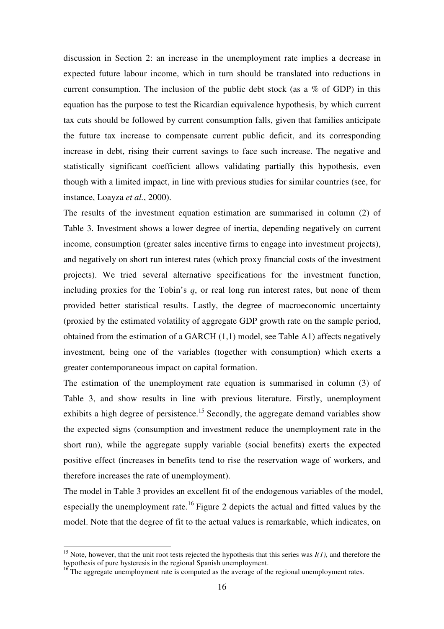discussion in Section 2: an increase in the unemployment rate implies a decrease in expected future labour income, which in turn should be translated into reductions in current consumption. The inclusion of the public debt stock (as a  $\%$  of GDP) in this equation has the purpose to test the Ricardian equivalence hypothesis, by which current tax cuts should be followed by current consumption falls, given that families anticipate the future tax increase to compensate current public deficit, and its corresponding increase in debt, rising their current savings to face such increase. The negative and statistically significant coefficient allows validating partially this hypothesis, even though with a limited impact, in line with previous studies for similar countries (see, for instance, Loayza *et al.*, 2000).

The results of the investment equation estimation are summarised in column (2) of Table 3. Investment shows a lower degree of inertia, depending negatively on current income, consumption (greater sales incentive firms to engage into investment projects), and negatively on short run interest rates (which proxy financial costs of the investment projects). We tried several alternative specifications for the investment function, including proxies for the Tobin's *q*, or real long run interest rates, but none of them provided better statistical results. Lastly, the degree of macroeconomic uncertainty (proxied by the estimated volatility of aggregate GDP growth rate on the sample period, obtained from the estimation of a GARCH (1,1) model, see Table A1) affects negatively investment, being one of the variables (together with consumption) which exerts a greater contemporaneous impact on capital formation.

The estimation of the unemployment rate equation is summarised in column (3) of Table 3, and show results in line with previous literature. Firstly, unemployment exhibits a high degree of persistence.<sup>15</sup> Secondly, the aggregate demand variables show the expected signs (consumption and investment reduce the unemployment rate in the short run), while the aggregate supply variable (social benefits) exerts the expected positive effect (increases in benefits tend to rise the reservation wage of workers, and therefore increases the rate of unemployment).

The model in Table 3 provides an excellent fit of the endogenous variables of the model, especially the unemployment rate.<sup>16</sup> Figure 2 depicts the actual and fitted values by the model. Note that the degree of fit to the actual values is remarkable, which indicates, on

<sup>&</sup>lt;sup>15</sup> Note, however, that the unit root tests rejected the hypothesis that this series was  $I(1)$ , and therefore the hypothesis of pure hysteresis in the regional Spanish unemployment.

<sup>&</sup>lt;sup>16</sup> The aggregate unemployment rate is computed as the average of the regional unemployment rates.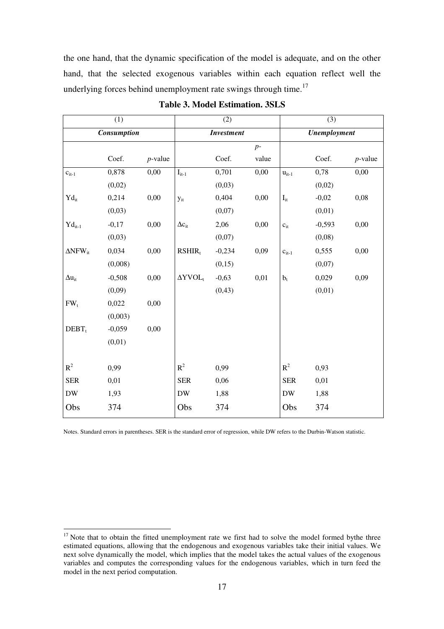the one hand, that the dynamic specification of the model is adequate, and on the other hand, that the selected exogenous variables within each equation reflect well the underlying forces behind unemployment rate swings through time.<sup>17</sup>

|                                                                          | (1)      |            |                    | (2)      |       |                                   | (3)      |            |
|--------------------------------------------------------------------------|----------|------------|--------------------|----------|-------|-----------------------------------|----------|------------|
| Consumption                                                              |          |            | <b>Investment</b>  |          |       | <b><i><u>Unemployment</u></i></b> |          |            |
|                                                                          |          |            |                    |          | $p-$  |                                   |          |            |
|                                                                          | Coef.    | $p$ -value |                    | Coef.    | value |                                   | Coef.    | $p$ -value |
| $c_{it-1}$                                                               | 0,878    | 0,00       | $I_{it-1}$         | 0,701    | 0,00  | $u_{it-1}$                        | 0,78     | 0,00       |
|                                                                          | (0,02)   |            |                    | (0,03)   |       |                                   | (0,02)   |            |
| $\text{Yd}_{\text{it}}$                                                  | 0,214    | 0,00       | $y_{it}$           | 0,404    | 0,00  | $\mathbf{I}_{\text{it}}$          | $-0,02$  | 0,08       |
|                                                                          | (0,03)   |            |                    | (0,07)   |       |                                   | (0,01)   |            |
| $\mathop{\mathrm{Yd}}\nolimits_{\mathop{\mathrm{it}}\nolimits\text{-}1}$ | $-0,17$  | 0,00       | $\Delta c_{it}$    | 2,06     | 0,00  | $c_{it}$                          | $-0,593$ | 0,00       |
|                                                                          | (0,03)   |            |                    | (0,07)   |       |                                   | (0,08)   |            |
| $\Delta$ NFW <sub>it</sub>                                               | 0,034    | 0,00       | RSHIR <sub>t</sub> | $-0,234$ | 0,09  | $c_{it-1}$                        | 0,555    | 0,00       |
|                                                                          | (0,008)  |            |                    | (0,15)   |       |                                   | (0,07)   |            |
| $\Delta u_{it}$                                                          | $-0,508$ | 0,00       | $\Delta YVOL$      | $-0,63$  | 0,01  | $b_t$                             | 0,029    | 0,09       |
|                                                                          | (0,09)   |            |                    | (0, 43)  |       |                                   | (0,01)   |            |
| FW <sub>t</sub>                                                          | 0,022    | 0,00       |                    |          |       |                                   |          |            |
|                                                                          | (0,003)  |            |                    |          |       |                                   |          |            |
| $DEBT_t$                                                                 | $-0,059$ | 0,00       |                    |          |       |                                   |          |            |
|                                                                          | (0,01)   |            |                    |          |       |                                   |          |            |
|                                                                          |          |            |                    |          |       |                                   |          |            |
| $R^2$                                                                    | 0,99     |            | $R^2$              | 0,99     |       | $R^2$                             | 0,93     |            |
| <b>SER</b>                                                               | 0,01     |            | <b>SER</b>         | 0,06     |       | <b>SER</b>                        | 0,01     |            |
| ${\rm DW}$                                                               | 1,93     |            | <b>DW</b>          | 1,88     |       | <b>DW</b>                         | 1,88     |            |
| Obs                                                                      | 374      |            | Obs                | 374      |       | Obs                               | 374      |            |
|                                                                          |          |            |                    |          |       |                                   |          |            |

### **Table 3. Model Estimation. 3SLS**

Notes. Standard errors in parentheses. SER is the standard error of regression, while DW refers to the Durbin-Watson statistic.

 $17$  Note that to obtain the fitted unemployment rate we first had to solve the model formed bythe three estimated equations, allowing that the endogenous and exogenous variables take their initial values. We next solve dynamically the model, which implies that the model takes the actual values of the exogenous variables and computes the corresponding values for the endogenous variables, which in turn feed the model in the next period computation.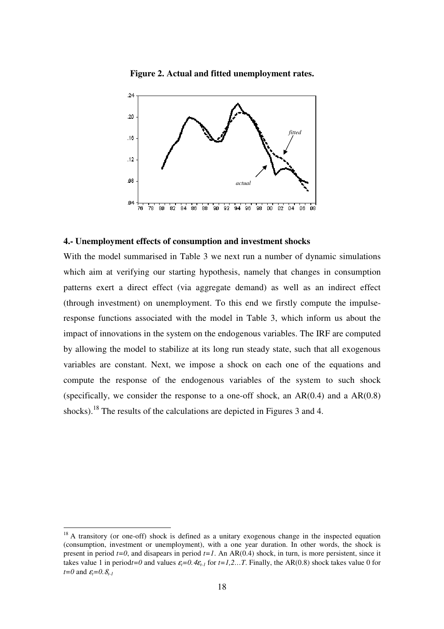**Figure 2. Actual and fitted unemployment rates.** 



#### **4.- Unemployment effects of consumption and investment shocks**

With the model summarised in Table 3 we next run a number of dynamic simulations which aim at verifying our starting hypothesis, namely that changes in consumption patterns exert a direct effect (via aggregate demand) as well as an indirect effect (through investment) on unemployment. To this end we firstly compute the impulseresponse functions associated with the model in Table 3, which inform us about the impact of innovations in the system on the endogenous variables. The IRF are computed by allowing the model to stabilize at its long run steady state, such that all exogenous variables are constant. Next, we impose a shock on each one of the equations and compute the response of the endogenous variables of the system to such shock (specifically, we consider the response to a one-off shock, an  $AR(0.4)$  and a  $AR(0.8)$ ) shocks).<sup>18</sup> The results of the calculations are depicted in Figures 3 and 4.

<sup>&</sup>lt;sup>18</sup> A transitory (or one-off) shock is defined as a unitary exogenous change in the inspected equation (consumption, investment or unemployment), with a one year duration. In other words, the shock is present in period  $t=0$ , and disapears in period  $t=1$ . An AR(0.4) shock, in turn, is more persistent, since it takes value 1 in period*t*=0 and values  $\varepsilon_t$ =0.4 $\varepsilon$ <sub>t-1</sub> for *t*=1,2…T. Finally, the AR(0.8) shock takes value 0 for *t*=0 and  $\varepsilon$ <sup>*t*</sup>=0. $\delta$ <sup>*t*-1</sup>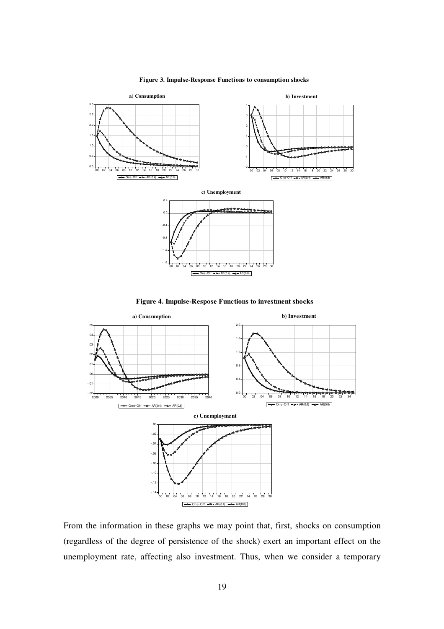

#### **Figure 3. Impulse-Response Functions to consumption shocks**





From the information in these graphs we may point that, first, shocks on consumption (regardless of the degree of persistence of the shock) exert an important effect on the unemployment rate, affecting also investment. Thus, when we consider a temporary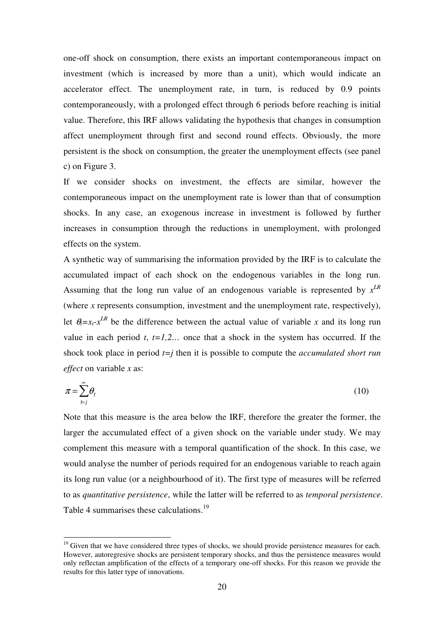one-off shock on consumption, there exists an important contemporaneous impact on investment (which is increased by more than a unit), which would indicate an accelerator effect. The unemployment rate, in turn, is reduced by 0.9 points contemporaneously, with a prolonged effect through 6 periods before reaching is initial value. Therefore, this IRF allows validating the hypothesis that changes in consumption affect unemployment through first and second round effects. Obviously, the more persistent is the shock on consumption, the greater the unemployment effects (see panel c) on Figure 3.

If we consider shocks on investment, the effects are similar, however the contemporaneous impact on the unemployment rate is lower than that of consumption shocks. In any case, an exogenous increase in investment is followed by further increases in consumption through the reductions in unemployment, with prolonged effects on the system.

A synthetic way of summarising the information provided by the IRF is to calculate the accumulated impact of each shock on the endogenous variables in the long run. Assuming that the long run value of an endogenous variable is represented by *x LR* (where *x* represents consumption, investment and the unemployment rate, respectively), let  $\theta_t = x_t - x^{LR}$  be the difference between the actual value of variable *x* and its long run value in each period  $t$ ,  $t=1,2...$  once that a shock in the system has occurred. If the shock took place in period *t=j* then it is possible to compute the *accumulated short run effect* on variable *x* as:

$$
\pi = \sum_{t=j}^{\infty} \theta_t \tag{10}
$$

Note that this measure is the area below the IRF, therefore the greater the former, the larger the accumulated effect of a given shock on the variable under study. We may complement this measure with a temporal quantification of the shock. In this case, we would analyse the number of periods required for an endogenous variable to reach again its long run value (or a neighbourhood of it). The first type of measures will be referred to as *quantitative persistence*, while the latter will be referred to as *temporal persistence*. Table 4 summarises these calculations.<sup>19</sup>

 $19$  Given that we have considered three types of shocks, we should provide persistence measures for each. However, autoregresive shocks are persistent temporary shocks, and thus the persistence measures would only reflectan amplification of the effects of a temporary one-off shocks. For this reason we provide the results for this latter type of innovations.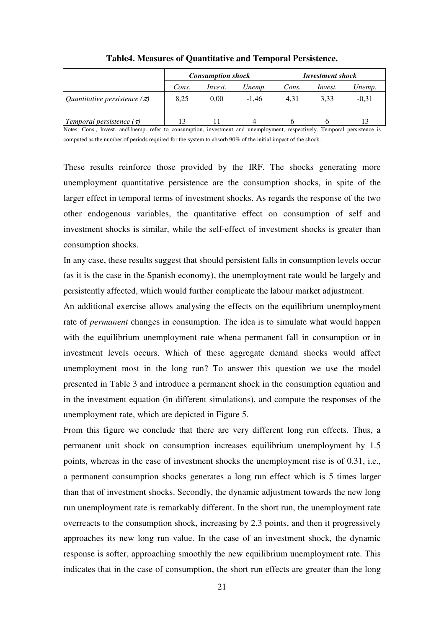|                                  |       | <b>Consumption shock</b> |         | <b>Investment shock</b> |                |         |
|----------------------------------|-------|--------------------------|---------|-------------------------|----------------|---------|
|                                  | Cons. | <i>Invest.</i>           | Unemp.  | Cons.                   | <i>Invest.</i> | Unemp.  |
| Quantitative persistence $(\pi)$ | 8.25  | 0.00                     | $-1.46$ | 4.31                    | 3.33           | $-0.31$ |
| Temporal persistence $(\tau)$    |       |                          | 4       |                         |                |         |

**Table4. Measures of Quantitative and Temporal Persistence.** 

Notes: Cons., Invest. andUnemp. refer to consumption, investment and unemployment, respectively. Temporal persistence is computed as the number of periods required for the system to absorb 90% of the initial impact of the shock.

These results reinforce those provided by the IRF. The shocks generating more unemployment quantitative persistence are the consumption shocks, in spite of the larger effect in temporal terms of investment shocks. As regards the response of the two other endogenous variables, the quantitative effect on consumption of self and investment shocks is similar, while the self-effect of investment shocks is greater than consumption shocks.

In any case, these results suggest that should persistent falls in consumption levels occur (as it is the case in the Spanish economy), the unemployment rate would be largely and persistently affected, which would further complicate the labour market adjustment.

An additional exercise allows analysing the effects on the equilibrium unemployment rate of *permanent* changes in consumption. The idea is to simulate what would happen with the equilibrium unemployment rate whena permanent fall in consumption or in investment levels occurs. Which of these aggregate demand shocks would affect unemployment most in the long run? To answer this question we use the model presented in Table 3 and introduce a permanent shock in the consumption equation and in the investment equation (in different simulations), and compute the responses of the unemployment rate, which are depicted in Figure 5.

From this figure we conclude that there are very different long run effects. Thus, a permanent unit shock on consumption increases equilibrium unemployment by 1.5 points, whereas in the case of investment shocks the unemployment rise is of 0.31, i.e., a permanent consumption shocks generates a long run effect which is 5 times larger than that of investment shocks. Secondly, the dynamic adjustment towards the new long run unemployment rate is remarkably different. In the short run, the unemployment rate overreacts to the consumption shock, increasing by 2.3 points, and then it progressively approaches its new long run value. In the case of an investment shock, the dynamic response is softer, approaching smoothly the new equilibrium unemployment rate. This indicates that in the case of consumption, the short run effects are greater than the long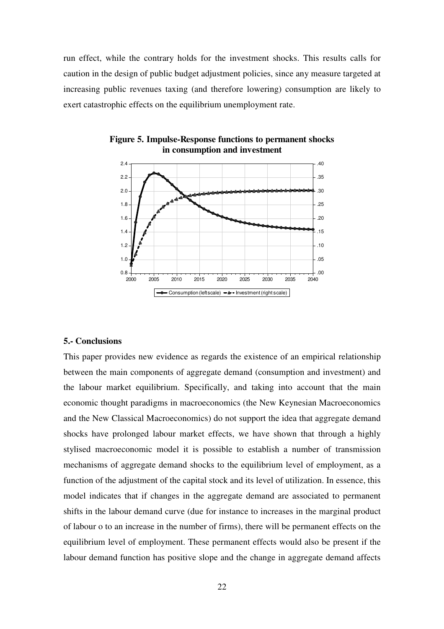run effect, while the contrary holds for the investment shocks. This results calls for caution in the design of public budget adjustment policies, since any measure targeted at increasing public revenues taxing (and therefore lowering) consumption are likely to exert catastrophic effects on the equilibrium unemployment rate.



**Figure 5. Impulse-Response functions to permanent shocks in consumption and investment**

#### **5.- Conclusions**

This paper provides new evidence as regards the existence of an empirical relationship between the main components of aggregate demand (consumption and investment) and the labour market equilibrium. Specifically, and taking into account that the main economic thought paradigms in macroeconomics (the New Keynesian Macroeconomics and the New Classical Macroeconomics) do not support the idea that aggregate demand shocks have prolonged labour market effects, we have shown that through a highly stylised macroeconomic model it is possible to establish a number of transmission mechanisms of aggregate demand shocks to the equilibrium level of employment, as a function of the adjustment of the capital stock and its level of utilization. In essence, this model indicates that if changes in the aggregate demand are associated to permanent shifts in the labour demand curve (due for instance to increases in the marginal product of labour o to an increase in the number of firms), there will be permanent effects on the equilibrium level of employment. These permanent effects would also be present if the labour demand function has positive slope and the change in aggregate demand affects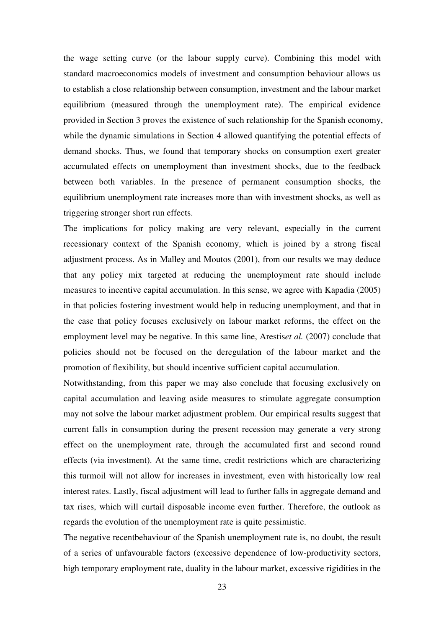the wage setting curve (or the labour supply curve). Combining this model with standard macroeconomics models of investment and consumption behaviour allows us to establish a close relationship between consumption, investment and the labour market equilibrium (measured through the unemployment rate). The empirical evidence provided in Section 3 proves the existence of such relationship for the Spanish economy, while the dynamic simulations in Section 4 allowed quantifying the potential effects of demand shocks. Thus, we found that temporary shocks on consumption exert greater accumulated effects on unemployment than investment shocks, due to the feedback between both variables. In the presence of permanent consumption shocks, the equilibrium unemployment rate increases more than with investment shocks, as well as triggering stronger short run effects.

The implications for policy making are very relevant, especially in the current recessionary context of the Spanish economy, which is joined by a strong fiscal adjustment process. As in Malley and Moutos (2001), from our results we may deduce that any policy mix targeted at reducing the unemployment rate should include measures to incentive capital accumulation. In this sense, we agree with Kapadia (2005) in that policies fostering investment would help in reducing unemployment, and that in the case that policy focuses exclusively on labour market reforms, the effect on the employment level may be negative. In this same line, Arestis*et al.* (2007) conclude that policies should not be focused on the deregulation of the labour market and the promotion of flexibility, but should incentive sufficient capital accumulation.

Notwithstanding, from this paper we may also conclude that focusing exclusively on capital accumulation and leaving aside measures to stimulate aggregate consumption may not solve the labour market adjustment problem. Our empirical results suggest that current falls in consumption during the present recession may generate a very strong effect on the unemployment rate, through the accumulated first and second round effects (via investment). At the same time, credit restrictions which are characterizing this turmoil will not allow for increases in investment, even with historically low real interest rates. Lastly, fiscal adjustment will lead to further falls in aggregate demand and tax rises, which will curtail disposable income even further. Therefore, the outlook as regards the evolution of the unemployment rate is quite pessimistic.

The negative recentbehaviour of the Spanish unemployment rate is, no doubt, the result of a series of unfavourable factors (excessive dependence of low-productivity sectors, high temporary employment rate, duality in the labour market, excessive rigidities in the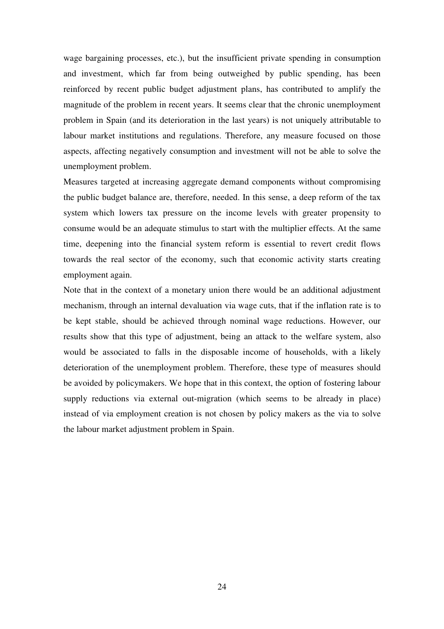wage bargaining processes, etc.), but the insufficient private spending in consumption and investment, which far from being outweighed by public spending, has been reinforced by recent public budget adjustment plans, has contributed to amplify the magnitude of the problem in recent years. It seems clear that the chronic unemployment problem in Spain (and its deterioration in the last years) is not uniquely attributable to labour market institutions and regulations. Therefore, any measure focused on those aspects, affecting negatively consumption and investment will not be able to solve the unemployment problem.

Measures targeted at increasing aggregate demand components without compromising the public budget balance are, therefore, needed. In this sense, a deep reform of the tax system which lowers tax pressure on the income levels with greater propensity to consume would be an adequate stimulus to start with the multiplier effects. At the same time, deepening into the financial system reform is essential to revert credit flows towards the real sector of the economy, such that economic activity starts creating employment again.

Note that in the context of a monetary union there would be an additional adjustment mechanism, through an internal devaluation via wage cuts, that if the inflation rate is to be kept stable, should be achieved through nominal wage reductions. However, our results show that this type of adjustment, being an attack to the welfare system, also would be associated to falls in the disposable income of households, with a likely deterioration of the unemployment problem. Therefore, these type of measures should be avoided by policymakers. We hope that in this context, the option of fostering labour supply reductions via external out-migration (which seems to be already in place) instead of via employment creation is not chosen by policy makers as the via to solve the labour market adjustment problem in Spain.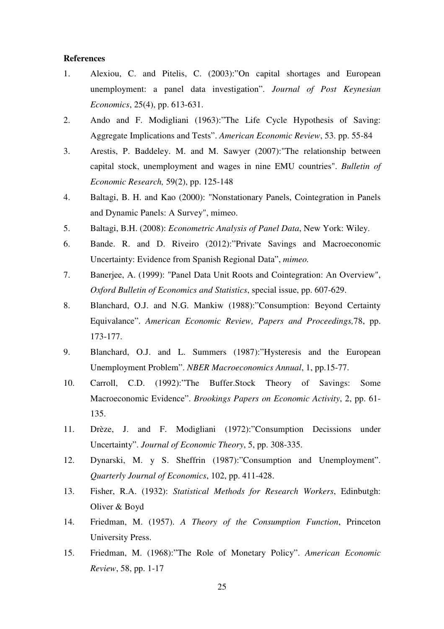#### **References**

- 1. Alexiou, C. and Pitelis, C. (2003):"On capital shortages and European unemployment: a panel data investigation". *Journal of Post Keynesian Economics*, 25(4), pp. 613-631.
- 2. Ando and F. Modigliani (1963):"The Life Cycle Hypothesis of Saving: Aggregate Implications and Tests". *American Economic Review*, 53. pp. 55-84
- 3. Arestis, P. Baddeley. M. and M. Sawyer (2007):"The relationship between capital stock, unemployment and wages in nine EMU countries". *Bulletin of Economic Research,* 59(2), pp. 125-148
- 4. Baltagi, B. H. and Kao (2000): "Nonstationary Panels, Cointegration in Panels and Dynamic Panels: A Survey", mimeo.
- 5. Baltagi, B.H. (2008): *Econometric Analysis of Panel Data*, New York: Wiley.
- 6. Bande. R. and D. Riveiro (2012):"Private Savings and Macroeconomic Uncertainty: Evidence from Spanish Regional Data", *mimeo.*
- 7. Banerjee, A. (1999): "Panel Data Unit Roots and Cointegration: An Overview", *Oxford Bulletin of Economics and Statistics*, special issue, pp. 607-629.
- 8. Blanchard, O.J. and N.G. Mankiw (1988):"Consumption: Beyond Certainty Equivalance". *American Economic Review, Papers and Proceedings,*78, pp. 173-177.
- 9. Blanchard, O.J. and L. Summers (1987):"Hysteresis and the European Unemployment Problem". *NBER Macroeconomics Annual*, 1, pp.15-77.
- 10. Carroll, C.D. (1992):"The Buffer.Stock Theory of Savings: Some Macroeconomic Evidence". *Brookings Papers on Economic Activity*, 2, pp. 61- 135.
- 11. Drèze, J. and F. Modigliani (1972):"Consumption Decissions under Uncertainty". *Journal of Economic Theory*, 5, pp. 308-335.
- 12. Dynarski, M. y S. Sheffrin (1987):"Consumption and Unemployment". *Quarterly Journal of Economics*, 102, pp. 411-428.
- 13. Fisher, R.A. (1932): *Statistical Methods for Research Workers*, Edinbutgh: Oliver & Boyd
- 14. Friedman, M. (1957). *A Theory of the Consumption Function*, Princeton University Press.
- 15. Friedman, M. (1968):"The Role of Monetary Policy". *American Economic Review*, 58, pp. 1-17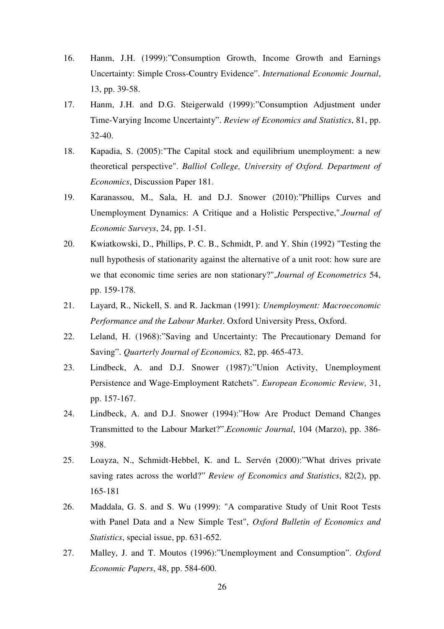- 16. Hanm, J.H. (1999):"Consumption Growth, Income Growth and Earnings Uncertainty: Simple Cross-Country Evidence". *International Economic Journal*, 13, pp. 39-58.
- 17. Hanm, J.H. and D.G. Steigerwald (1999):"Consumption Adjustment under Time-Varying Income Uncertainty". *Review of Economics and Statistics*, 81, pp. 32-40.
- 18. Kapadia, S. (2005):"The Capital stock and equilibrium unemployment: a new theoretical perspective". *Balliol College, University of Oxford. Department of Economics*, Discussion Paper 181.
- 19. Karanassou, M., Sala, H. and D.J. Snower (2010):"Phillips Curves and Unemployment Dynamics: A Critique and a Holistic Perspective,".*Journal of Economic Surveys*, 24, pp. 1-51.
- 20. Kwiatkowski, D., Phillips, P. C. B., Schmidt, P. and Y. Shin (1992) "Testing the null hypothesis of stationarity against the alternative of a unit root: how sure are we that economic time series are non stationary?",*Journal of Econometrics* 54, pp. 159-178.
- 21. Layard, R., Nickell, S. and R. Jackman (1991): *Unemployment: Macroeconomic Performance and the Labour Market*. Oxford University Press, Oxford.
- 22. Leland, H. (1968):"Saving and Uncertainty: The Precautionary Demand for Saving". *Quarterly Journal of Economics,* 82, pp. 465-473.
- 23. Lindbeck, A. and D.J. Snower (1987):"Union Activity, Unemployment Persistence and Wage-Employment Ratchets". *European Economic Review,* 31, pp. 157-167.
- 24. Lindbeck, A. and D.J. Snower (1994):"How Are Product Demand Changes Transmitted to the Labour Market?".*Economic Journal*, 104 (Marzo), pp. 386- 398.
- 25. Loayza, N., Schmidt-Hebbel, K. and L. Servén (2000):"What drives private saving rates across the world?" *Review of Economics and Statistics*, 82(2), pp. 165-181
- 26. Maddala, G. S. and S. Wu (1999): "A comparative Study of Unit Root Tests with Panel Data and a New Simple Test", *Oxford Bulletin of Economics and Statistics*, special issue, pp. 631-652.
- 27. Malley, J. and T. Moutos (1996):"Unemployment and Consumption". *Oxford Economic Papers*, 48, pp. 584-600.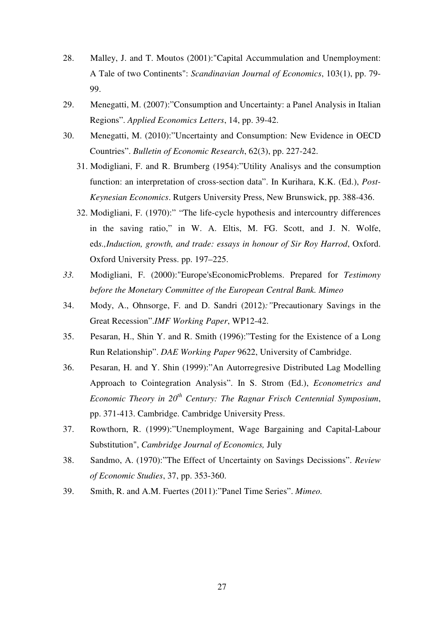- 28. Malley, J. and T. Moutos (2001):"Capital Accummulation and Unemployment: A Tale of two Continents": *Scandinavian Journal of Economics*, 103(1), pp. 79- 99.
- 29. Menegatti, M. (2007):"Consumption and Uncertainty: a Panel Analysis in Italian Regions". *Applied Economics Letters*, 14, pp. 39-42.
- 30. Menegatti, M. (2010):"Uncertainty and Consumption: New Evidence in OECD Countries". *Bulletin of Economic Research*, 62(3), pp. 227-242.
	- 31. Modigliani, F. and R. Brumberg (1954):"Utility Analisys and the consumption function: an interpretation of cross-section data". In Kurihara, K.K. (Ed.), *Post-Keynesian Economics*. Rutgers University Press, New Brunswick, pp. 388-436.
	- 32. Modigliani, F. (1970):" "The life-cycle hypothesis and intercountry differences in the saving ratio," in W. A. Eltis, M. FG. Scott, and J. N. Wolfe, ed*s.,Induction, growth, and trade: essays in honour of Sir Roy Harrod*, Oxford. Oxford University Press. pp. 197–225.
- *33.* Modigliani, F. (2000):"Europe'sEconomicProblems. Prepared for *Testimony before the Monetary Committee of the European Central Bank. Mimeo*
- 34. Mody, A., Ohnsorge, F. and D. Sandri (2012)*:"*Precautionary Savings in the Great Recession".*IMF Working Paper*, WP12-42.
- 35. Pesaran, H., Shin Y. and R. Smith (1996):"Testing for the Existence of a Long Run Relationship". *DAE Working Paper* 9622, University of Cambridge.
- 36. Pesaran, H. and Y. Shin (1999):"An Autorregresive Distributed Lag Modelling Approach to Cointegration Analysis". In S. Strom (Ed.), *Econometrics and Economic Theory in 20th Century: The Ragnar Frisch Centennial Symposium*, pp. 371-413. Cambridge. Cambridge University Press.
- 37. Rowthorn, R. (1999):"Unemployment, Wage Bargaining and Capital-Labour Substitution", *Cambridge Journal of Economics,* July
- 38. Sandmo, A. (1970):"The Effect of Uncertainty on Savings Decissions". *Review of Economic Studies*, 37, pp. 353-360.
- 39. Smith, R. and A.M. Fuertes (2011):"Panel Time Series". *Mimeo.*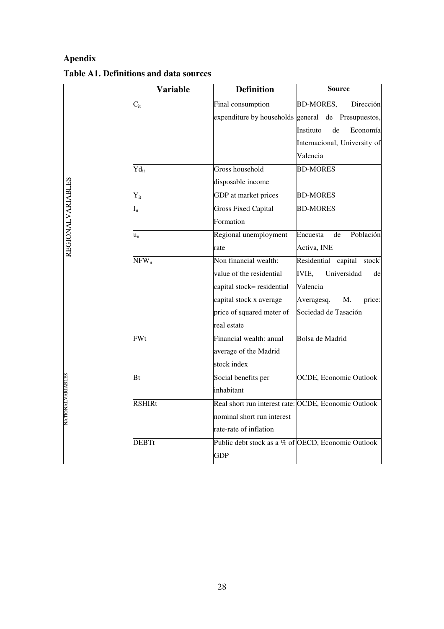## **Apendix**

|                          | <b>Variable</b>            | <b>Definition</b>                                  | <b>Source</b>                                        |
|--------------------------|----------------------------|----------------------------------------------------|------------------------------------------------------|
|                          | $C_{it}$                   | Final consumption                                  | <b>BD-MORES,</b><br>Dirección                        |
|                          |                            |                                                    | expenditure by households general de Presupuestos,   |
|                          |                            |                                                    | Economía<br>Instituto<br>de                          |
|                          |                            |                                                    | Internacional, University of                         |
|                          |                            |                                                    | Valencia                                             |
|                          | $\text{Yd}_{\text{it}}$    | Gross household                                    | <b>BD-MORES</b>                                      |
|                          |                            | disposable income                                  |                                                      |
| <b>REGIONALVARIABLES</b> | $Y_{it}$                   | GDP at market prices                               | <b>BD-MORES</b>                                      |
|                          | $\mathbf{I}_{\mathrm{it}}$ | <b>Gross Fixed Capital</b>                         | <b>BD-MORES</b>                                      |
|                          |                            | Formation                                          |                                                      |
|                          | $\mathbf{u}_{\mathrm{it}}$ | Regional unemployment                              | Población<br>Encuesta<br>de                          |
|                          |                            | rate                                               | Activa, INE                                          |
|                          | $NFW_{it}$                 | Non financial wealth:                              | Residential capital stock                            |
|                          |                            | value of the residential                           | <b>IVIE,</b><br>Universidad<br>de                    |
|                          |                            | capital stock= residential                         | Valencia                                             |
|                          |                            | capital stock x average                            | Averagesq.<br>M.<br>price:                           |
|                          |                            | price of squared meter of                          | Sociedad de Tasación                                 |
|                          |                            | real estate                                        |                                                      |
|                          | FWt                        | Financial wealth: anual                            | Bolsa de Madrid                                      |
|                          |                            | average of the Madrid                              |                                                      |
|                          |                            | stock index                                        |                                                      |
|                          | Bt                         | Social benefits per                                | OCDE, Economic Outlook                               |
|                          |                            | inhabitant                                         |                                                      |
| <b>NATIONALVARIABLES</b> | <b>RSHIRt</b>              |                                                    | Real short run interest rate: OCDE, Economic Outlook |
|                          |                            | nominal short run interest                         |                                                      |
|                          |                            | rate-rate of inflation                             |                                                      |
|                          | <b>DEBTt</b>               | Public debt stock as a % of OECD, Economic Outlook |                                                      |
|                          |                            | <b>GDP</b>                                         |                                                      |

### **Table A1. Definitions and data sources**